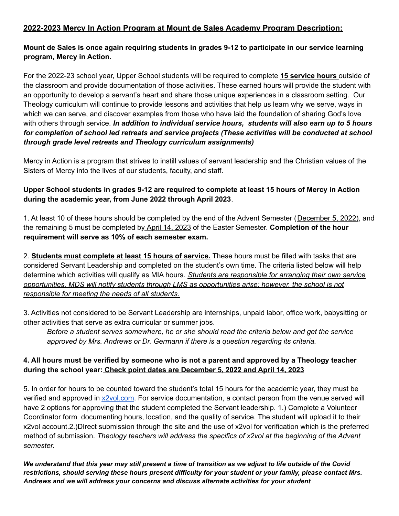# **2022-2023 Mercy In Action Program at Mount de Sales Academy Program Description:**

### **Mount de Sales is once again requiring students in grades 9-12 to participate in our service learning program, Mercy in Action.**

For the 2022-23 school year, Upper School students will be required to complete **15 service hours** outside of the classroom and provide documentation of those activities. These earned hours will provide the student with an opportunity to develop a servant's heart and share those unique experiences in a classroom setting. Our Theology curriculum will continue to provide lessons and activities that help us learn why we serve, ways in which we can serve, and discover examples from those who have laid the foundation of sharing God's love with others through service. *In addition to individual service hours, students will also earn up to 5 hours for completion of school led retreats and service projects (These activities will be conducted at school through grade level retreats and Theology curriculum assignments)*

Mercy in Action is a program that strives to instill values of servant leadership and the Christian values of the Sisters of Mercy into the lives of our students, faculty, and staff.

# **Upper School students in grades 9-12 are required to complete at least 15 hours of Mercy in Action during the academic year, from June 2022 through April 2023**.

1. At least 10 of these hours should be completed by the end of the Advent Semester (December 5, 2022), and the remaining 5 must be completed by April 14, 2023 of the Easter Semester. **Completion of the hour requirement will serve as 10% of each semester exam.**

2. **Students must complete at least 15 hours of service.** These hours must be filled with tasks that are considered Servant Leadership and completed on the student's own time. The criteria listed below will help determine which activities will qualify as MIA hours. *Students are responsible for arranging their own service opportunities, MDS will notify students through LMS as opportunities arise; however, the school is not responsible for meeting the needs of all students.*

3. Activities not considered to be Servant Leadership are internships, unpaid labor, office work, babysitting or other activities that serve as extra curricular or summer jobs.

*Before a student serves somewhere, he or she should read the criteria below and get the service approved by Mrs. Andrews or Dr. Germann if there is a question regarding its criteria.*

# 4. All hours must be verified by someone who is not a parent and approved by a Theology teacher **during the school year: Check point dates are December 5, 2022 and April 14, 2023**

5. In order for hours to be counted toward the student's total 15 hours for the academic year, they must be verified and approved in [x2vol.com.](https://www.x2vol.com/) For service documentation, a contact person from the venue served will have 2 options for approving that the student completed the Servant leadership. 1.) Complete a Volunteer Coordinator form documenting hours, location, and the quality of service. The student will upload it to their x2vol account.2.)DIrect submission through the site and the use of x2vol for verification which is the preferred method of submission. *Theology teachers will address the specifics of x2vol at the beginning of the Advent semester.*

We understand that this year may still present a time of transition as we adjust to life outside of the Covid *restrictions, should serving these hours present difficulty for your student or your family, please contact Mrs. Andrews and we will address your concerns and discuss alternate activities for your student*.